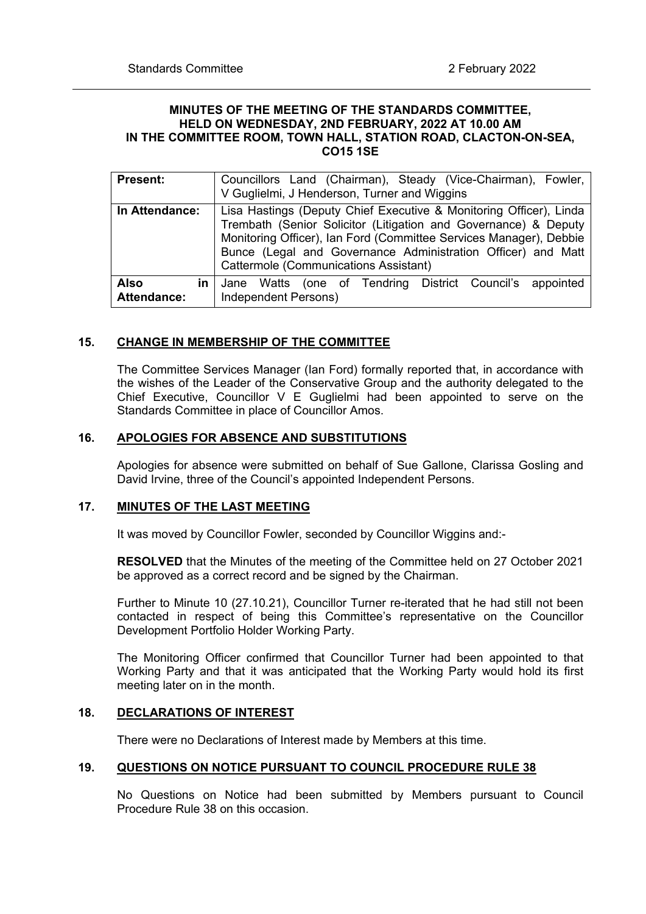### **MINUTES OF THE MEETING OF THE STANDARDS COMMITTEE, HELD ON WEDNESDAY, 2ND FEBRUARY, 2022 AT 10.00 AM IN THE COMMITTEE ROOM, TOWN HALL, STATION ROAD, CLACTON-ON-SEA, CO15 1SE**

| <b>Present:</b>                         | Councillors Land (Chairman), Steady (Vice-Chairman), Fowler,<br>V Guglielmi, J Henderson, Turner and Wiggins                                                                                                                                                                                                                |  |  |  |
|-----------------------------------------|-----------------------------------------------------------------------------------------------------------------------------------------------------------------------------------------------------------------------------------------------------------------------------------------------------------------------------|--|--|--|
| In Attendance:                          | Lisa Hastings (Deputy Chief Executive & Monitoring Officer), Linda<br>Trembath (Senior Solicitor (Litigation and Governance) & Deputy<br>Monitoring Officer), Ian Ford (Committee Services Manager), Debbie<br>Bunce (Legal and Governance Administration Officer) and Matt<br><b>Cattermole (Communications Assistant)</b> |  |  |  |
| <b>Also</b><br>in<br><b>Attendance:</b> | Jane Watts (one of Tendring District Council's appointed<br>Independent Persons)                                                                                                                                                                                                                                            |  |  |  |

## **15. CHANGE IN MEMBERSHIP OF THE COMMITTEE**

The Committee Services Manager (Ian Ford) formally reported that, in accordance with the wishes of the Leader of the Conservative Group and the authority delegated to the Chief Executive, Councillor V E Guglielmi had been appointed to serve on the Standards Committee in place of Councillor Amos.

### **16. APOLOGIES FOR ABSENCE AND SUBSTITUTIONS**

Apologies for absence were submitted on behalf of Sue Gallone, Clarissa Gosling and David Irvine, three of the Council's appointed Independent Persons.

## **17. MINUTES OF THE LAST MEETING**

It was moved by Councillor Fowler, seconded by Councillor Wiggins and:-

**RESOLVED** that the Minutes of the meeting of the Committee held on 27 October 2021 be approved as a correct record and be signed by the Chairman.

Further to Minute 10 (27.10.21), Councillor Turner re-iterated that he had still not been contacted in respect of being this Committee's representative on the Councillor Development Portfolio Holder Working Party.

The Monitoring Officer confirmed that Councillor Turner had been appointed to that Working Party and that it was anticipated that the Working Party would hold its first meeting later on in the month.

### **18. DECLARATIONS OF INTEREST**

There were no Declarations of Interest made by Members at this time.

### **19. QUESTIONS ON NOTICE PURSUANT TO COUNCIL PROCEDURE RULE 38**

No Questions on Notice had been submitted by Members pursuant to Council Procedure Rule 38 on this occasion.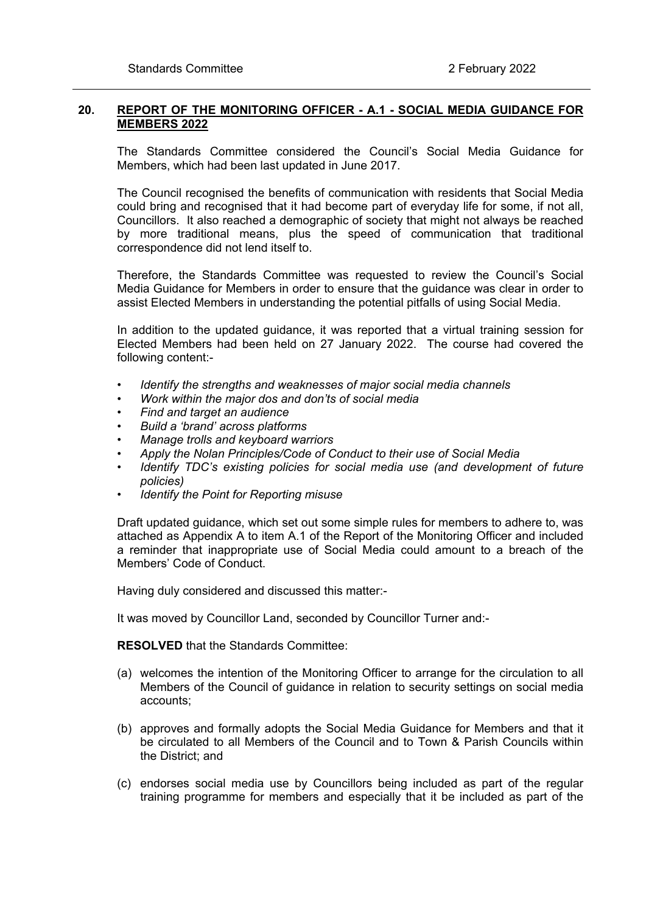## **20. REPORT OF THE MONITORING OFFICER - A.1 - SOCIAL MEDIA GUIDANCE FOR MEMBERS 2022**

The Standards Committee considered the Council's Social Media Guidance for Members, which had been last updated in June 2017.

The Council recognised the benefits of communication with residents that Social Media could bring and recognised that it had become part of everyday life for some, if not all, Councillors. It also reached a demographic of society that might not always be reached by more traditional means, plus the speed of communication that traditional correspondence did not lend itself to.

Therefore, the Standards Committee was requested to review the Council's Social Media Guidance for Members in order to ensure that the guidance was clear in order to assist Elected Members in understanding the potential pitfalls of using Social Media.

In addition to the updated guidance, it was reported that a virtual training session for Elected Members had been held on 27 January 2022. The course had covered the following content:-

- *Identify the strengths and weaknesses of major social media channels*
- *• Work within the major dos and don'ts of social media*
- *• Find and target an audience*
- *• Build a 'brand' across platforms*
- *• Manage trolls and keyboard warriors*
- *• Apply the Nolan Principles/Code of Conduct to their use of Social Media*
- *• Identify TDC's existing policies for social media use (and development of future policies)*
- *• Identify the Point for Reporting misuse*

Draft updated guidance, which set out some simple rules for members to adhere to, was attached as Appendix A to item A.1 of the Report of the Monitoring Officer and included a reminder that inappropriate use of Social Media could amount to a breach of the Members' Code of Conduct.

Having duly considered and discussed this matter:-

It was moved by Councillor Land, seconded by Councillor Turner and:-

**RESOLVED** that the Standards Committee:

- (a) welcomes the intention of the Monitoring Officer to arrange for the circulation to all Members of the Council of guidance in relation to security settings on social media accounts;
- (b) approves and formally adopts the Social Media Guidance for Members and that it be circulated to all Members of the Council and to Town & Parish Councils within the District; and
- (c) endorses social media use by Councillors being included as part of the regular training programme for members and especially that it be included as part of the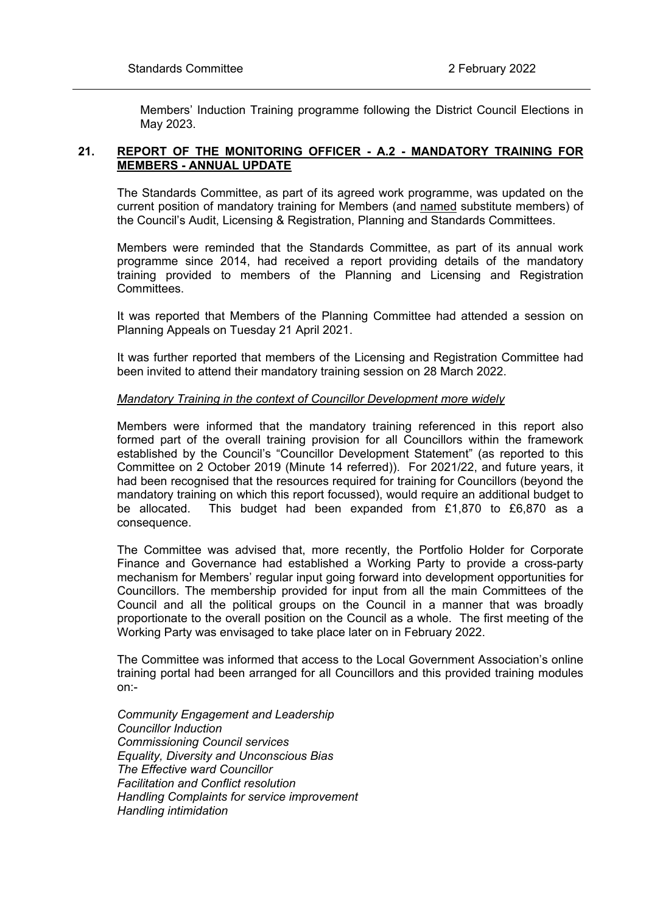Members' Induction Training programme following the District Council Elections in May 2023.

## **21. REPORT OF THE MONITORING OFFICER - A.2 - MANDATORY TRAINING FOR MEMBERS - ANNUAL UPDATE**

The Standards Committee, as part of its agreed work programme, was updated on the current position of mandatory training for Members (and named substitute members) of the Council's Audit, Licensing & Registration, Planning and Standards Committees.

Members were reminded that the Standards Committee, as part of its annual work programme since 2014, had received a report providing details of the mandatory training provided to members of the Planning and Licensing and Registration Committees.

It was reported that Members of the Planning Committee had attended a session on Planning Appeals on Tuesday 21 April 2021.

It was further reported that members of the Licensing and Registration Committee had been invited to attend their mandatory training session on 28 March 2022.

### *Mandatory Training in the context of Councillor Development more widely*

Members were informed that the mandatory training referenced in this report also formed part of the overall training provision for all Councillors within the framework established by the Council's "Councillor Development Statement" (as reported to this Committee on 2 October 2019 (Minute 14 referred)). For 2021/22, and future years, it had been recognised that the resources required for training for Councillors (beyond the mandatory training on which this report focussed), would require an additional budget to be allocated. This budget had been expanded from £1,870 to £6,870 as a consequence.

The Committee was advised that, more recently, the Portfolio Holder for Corporate Finance and Governance had established a Working Party to provide a cross-party mechanism for Members' regular input going forward into development opportunities for Councillors. The membership provided for input from all the main Committees of the Council and all the political groups on the Council in a manner that was broadly proportionate to the overall position on the Council as a whole. The first meeting of the Working Party was envisaged to take place later on in February 2022.

The Committee was informed that access to the Local Government Association's online training portal had been arranged for all Councillors and this provided training modules on:-

*Community Engagement and Leadership Councillor Induction Commissioning Council services Equality, Diversity and Unconscious Bias The Effective ward Councillor Facilitation and Conflict resolution Handling Complaints for service improvement Handling intimidation*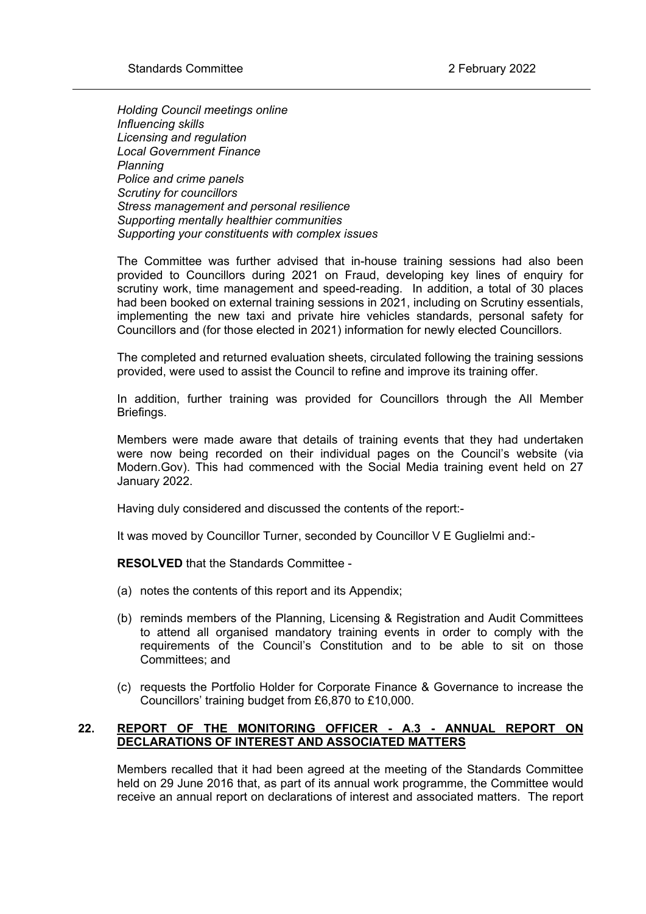*Holding Council meetings online Influencing skills Licensing and regulation Local Government Finance Planning Police and crime panels Scrutiny for councillors Stress management and personal resilience Supporting mentally healthier communities Supporting your constituents with complex issues*

The Committee was further advised that in-house training sessions had also been provided to Councillors during 2021 on Fraud, developing key lines of enquiry for scrutiny work, time management and speed-reading. In addition, a total of 30 places had been booked on external training sessions in 2021, including on Scrutiny essentials, implementing the new taxi and private hire vehicles standards, personal safety for Councillors and (for those elected in 2021) information for newly elected Councillors.

The completed and returned evaluation sheets, circulated following the training sessions provided, were used to assist the Council to refine and improve its training offer.

In addition, further training was provided for Councillors through the All Member Briefings.

Members were made aware that details of training events that they had undertaken were now being recorded on their individual pages on the Council's website (via Modern.Gov). This had commenced with the Social Media training event held on 27 January 2022.

Having duly considered and discussed the contents of the report:-

It was moved by Councillor Turner, seconded by Councillor V E Guglielmi and:-

**RESOLVED** that the Standards Committee -

- (a) notes the contents of this report and its Appendix;
- (b) reminds members of the Planning, Licensing & Registration and Audit Committees to attend all organised mandatory training events in order to comply with the requirements of the Council's Constitution and to be able to sit on those Committees; and
- (c) requests the Portfolio Holder for Corporate Finance & Governance to increase the Councillors' training budget from £6,870 to £10,000.

# **22. REPORT OF THE MONITORING OFFICER - A.3 - ANNUAL REPORT ON DECLARATIONS OF INTEREST AND ASSOCIATED MATTERS**

Members recalled that it had been agreed at the meeting of the Standards Committee held on 29 June 2016 that, as part of its annual work programme, the Committee would receive an annual report on declarations of interest and associated matters. The report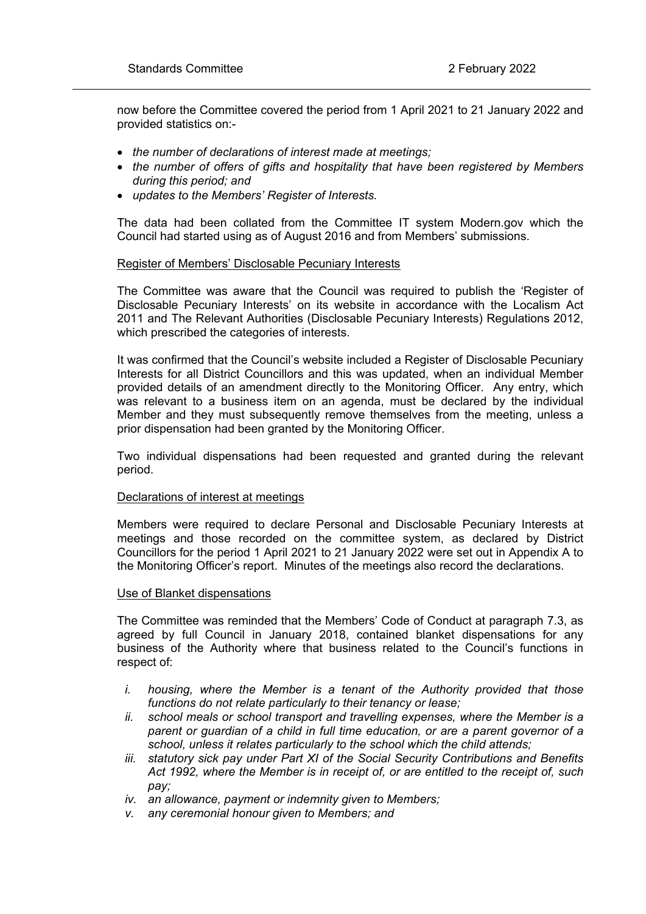now before the Committee covered the period from 1 April 2021 to 21 January 2022 and provided statistics on:-

- *the number of declarations of interest made at meetings;*
- *the number of offers of gifts and hospitality that have been registered by Members during this period; and*
- *updates to the Members' Register of Interests.*

The data had been collated from the Committee IT system Modern.gov which the Council had started using as of August 2016 and from Members' submissions.

### Register of Members' Disclosable Pecuniary Interests

The Committee was aware that the Council was required to publish the 'Register of Disclosable Pecuniary Interests' on its website in accordance with the Localism Act 2011 and The Relevant Authorities (Disclosable Pecuniary Interests) Regulations 2012, which prescribed the categories of interests.

It was confirmed that the Council's website included a Register of Disclosable Pecuniary Interests for all District Councillors and this was updated, when an individual Member provided details of an amendment directly to the Monitoring Officer. Any entry, which was relevant to a business item on an agenda, must be declared by the individual Member and they must subsequently remove themselves from the meeting, unless a prior dispensation had been granted by the Monitoring Officer.

Two individual dispensations had been requested and granted during the relevant period.

### Declarations of interest at meetings

Members were required to declare Personal and Disclosable Pecuniary Interests at meetings and those recorded on the committee system, as declared by District Councillors for the period 1 April 2021 to 21 January 2022 were set out in Appendix A to the Monitoring Officer's report. Minutes of the meetings also record the declarations.

### Use of Blanket dispensations

The Committee was reminded that the Members' Code of Conduct at paragraph 7.3, as agreed by full Council in January 2018, contained blanket dispensations for any business of the Authority where that business related to the Council's functions in respect of:

- *i. housing, where the Member is a tenant of the Authority provided that those functions do not relate particularly to their tenancy or lease;*
- *ii. school meals or school transport and travelling expenses, where the Member is a parent or guardian of a child in full time education, or are a parent governor of a school, unless it relates particularly to the school which the child attends;*
- *iii. statutory sick pay under Part XI of the Social Security Contributions and Benefits Act 1992, where the Member is in receipt of, or are entitled to the receipt of, such pay;*
- *iv. an allowance, payment or indemnity given to Members;*
- *v. any ceremonial honour given to Members; and*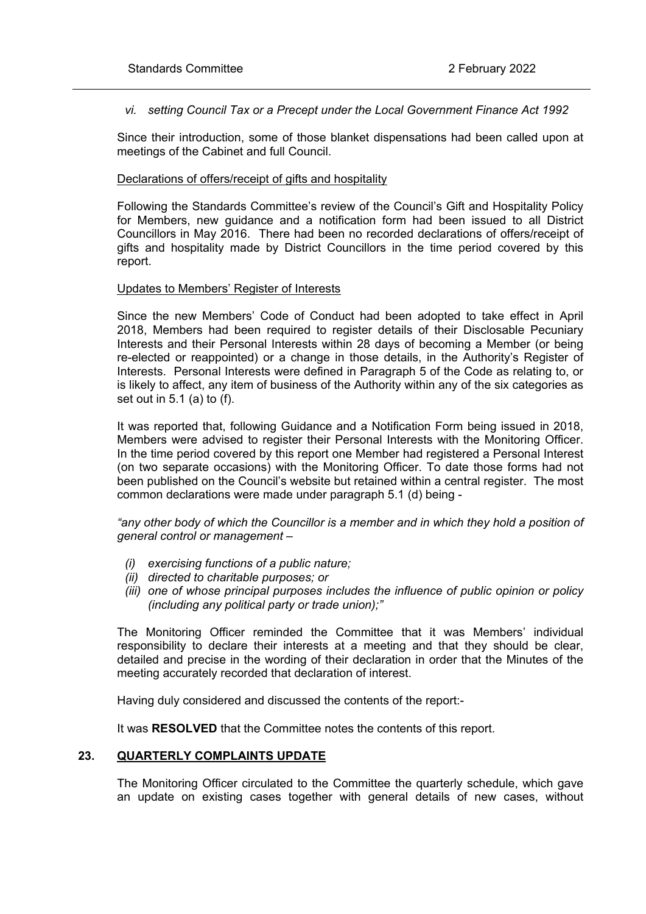*vi. setting Council Tax or a Precept under the Local Government Finance Act 1992*

Since their introduction, some of those blanket dispensations had been called upon at meetings of the Cabinet and full Council.

### Declarations of offers/receipt of gifts and hospitality

Following the Standards Committee's review of the Council's Gift and Hospitality Policy for Members, new guidance and a notification form had been issued to all District Councillors in May 2016. There had been no recorded declarations of offers/receipt of gifts and hospitality made by District Councillors in the time period covered by this report.

### Updates to Members' Register of Interests

Since the new Members' Code of Conduct had been adopted to take effect in April 2018, Members had been required to register details of their Disclosable Pecuniary Interests and their Personal Interests within 28 days of becoming a Member (or being re-elected or reappointed) or a change in those details, in the Authority's Register of Interests. Personal Interests were defined in Paragraph 5 of the Code as relating to, or is likely to affect, any item of business of the Authority within any of the six categories as set out in 5.1 (a) to (f).

It was reported that, following Guidance and a Notification Form being issued in 2018, Members were advised to register their Personal Interests with the Monitoring Officer. In the time period covered by this report one Member had registered a Personal Interest (on two separate occasions) with the Monitoring Officer. To date those forms had not been published on the Council's website but retained within a central register. The most common declarations were made under paragraph 5.1 (d) being -

*"any other body of which the Councillor is a member and in which they hold a position of general control or management –*

- *(i) exercising functions of a public nature;*
- *(ii) directed to charitable purposes; or*
- *(iii) one of whose principal purposes includes the influence of public opinion or policy (including any political party or trade union);"*

The Monitoring Officer reminded the Committee that it was Members' individual responsibility to declare their interests at a meeting and that they should be clear, detailed and precise in the wording of their declaration in order that the Minutes of the meeting accurately recorded that declaration of interest.

Having duly considered and discussed the contents of the report:-

It was **RESOLVED** that the Committee notes the contents of this report.

### **23. QUARTERLY COMPLAINTS UPDATE**

The Monitoring Officer circulated to the Committee the quarterly schedule, which gave an update on existing cases together with general details of new cases, without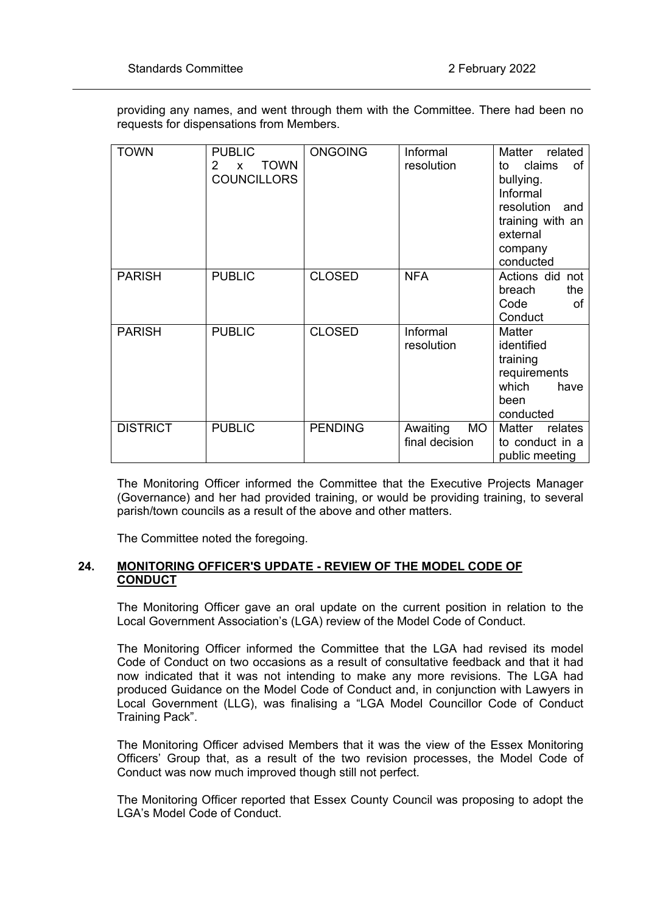providing any names, and went through them with the Committee. There had been no requests for dispensations from Members.

| <b>TOWN</b>     | <b>PUBLIC</b><br><b>TOWN</b><br>2<br>$\mathsf{x}$<br><b>COUNCILLORS</b> | <b>ONGOING</b> | Informal<br>resolution                  | Matter<br>related<br>claims<br>of<br>to<br>bullying.<br>Informal<br>resolution<br>and<br>training with an<br>external<br>company<br>conducted |
|-----------------|-------------------------------------------------------------------------|----------------|-----------------------------------------|-----------------------------------------------------------------------------------------------------------------------------------------------|
| <b>PARISH</b>   | <b>PUBLIC</b>                                                           | <b>CLOSED</b>  | <b>NFA</b>                              | Actions did not<br>the<br>breach<br>Code<br>of<br>Conduct                                                                                     |
| <b>PARISH</b>   | <b>PUBLIC</b>                                                           | <b>CLOSED</b>  | Informal<br>resolution                  | Matter<br>identified<br>training<br>requirements<br>which<br>have<br>been<br>conducted                                                        |
| <b>DISTRICT</b> | <b>PUBLIC</b>                                                           | <b>PENDING</b> | <b>MO</b><br>Awaiting<br>final decision | relates<br>Matter<br>to conduct in a<br>public meeting                                                                                        |

The Monitoring Officer informed the Committee that the Executive Projects Manager (Governance) and her had provided training, or would be providing training, to several parish/town councils as a result of the above and other matters.

The Committee noted the foregoing.

## **24. MONITORING OFFICER'S UPDATE - REVIEW OF THE MODEL CODE OF CONDUCT**

The Monitoring Officer gave an oral update on the current position in relation to the Local Government Association's (LGA) review of the Model Code of Conduct.

The Monitoring Officer informed the Committee that the LGA had revised its model Code of Conduct on two occasions as a result of consultative feedback and that it had now indicated that it was not intending to make any more revisions. The LGA had produced Guidance on the Model Code of Conduct and, in conjunction with Lawyers in Local Government (LLG), was finalising a "LGA Model Councillor Code of Conduct Training Pack".

The Monitoring Officer advised Members that it was the view of the Essex Monitoring Officers' Group that, as a result of the two revision processes, the Model Code of Conduct was now much improved though still not perfect.

The Monitoring Officer reported that Essex County Council was proposing to adopt the LGA's Model Code of Conduct.